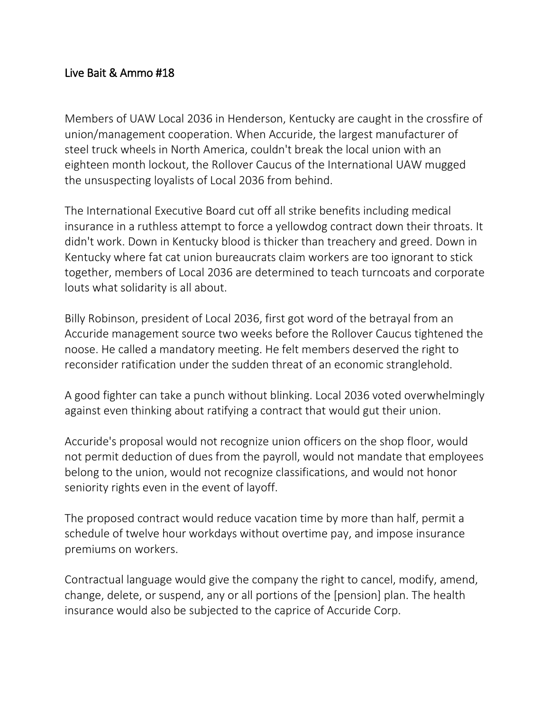## Live Bait & Ammo #18

Members of UAW Local 2036 in Henderson, Kentucky are caught in the crossfire of union/management cooperation. When Accuride, the largest manufacturer of steel truck wheels in North America, couldn't break the local union with an eighteen month lockout, the Rollover Caucus of the International UAW mugged the unsuspecting loyalists of Local 2036 from behind.

The International Executive Board cut off all strike benefits including medical insurance in a ruthless attempt to force a yellowdog contract down their throats. It didn't work. Down in Kentucky blood is thicker than treachery and greed. Down in Kentucky where fat cat union bureaucrats claim workers are too ignorant to stick together, members of Local 2036 are determined to teach turncoats and corporate louts what solidarity is all about.

Billy Robinson, president of Local 2036, first got word of the betrayal from an Accuride management source two weeks before the Rollover Caucus tightened the noose. He called a mandatory meeting. He felt members deserved the right to reconsider ratification under the sudden threat of an economic stranglehold.

A good fighter can take a punch without blinking. Local 2036 voted overwhelmingly against even thinking about ratifying a contract that would gut their union.

Accuride's proposal would not recognize union officers on the shop floor, would not permit deduction of dues from the payroll, would not mandate that employees belong to the union, would not recognize classifications, and would not honor seniority rights even in the event of layoff.

The proposed contract would reduce vacation time by more than half, permit a schedule of twelve hour workdays without overtime pay, and impose insurance premiums on workers.

Contractual language would give the company the right to cancel, modify, amend, change, delete, or suspend, any or all portions of the [pension] plan. The health insurance would also be subjected to the caprice of Accuride Corp.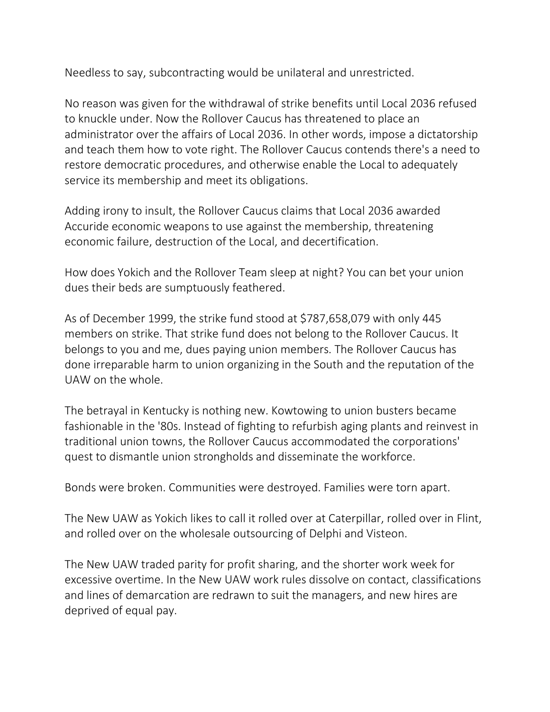Needless to say, subcontracting would be unilateral and unrestricted.

No reason was given for the withdrawal of strike benefits until Local 2036 refused to knuckle under. Now the Rollover Caucus has threatened to place an administrator over the affairs of Local 2036. In other words, impose a dictatorship and teach them how to vote right. The Rollover Caucus contends there's a need to restore democratic procedures, and otherwise enable the Local to adequately service its membership and meet its obligations.

Adding irony to insult, the Rollover Caucus claims that Local 2036 awarded Accuride economic weapons to use against the membership, threatening economic failure, destruction of the Local, and decertification.

How does Yokich and the Rollover Team sleep at night? You can bet your union dues their beds are sumptuously feathered.

As of December 1999, the strike fund stood at \$787,658,079 with only 445 members on strike. That strike fund does not belong to the Rollover Caucus. It belongs to you and me, dues paying union members. The Rollover Caucus has done irreparable harm to union organizing in the South and the reputation of the UAW on the whole.

The betrayal in Kentucky is nothing new. Kowtowing to union busters became fashionable in the '80s. Instead of fighting to refurbish aging plants and reinvest in traditional union towns, the Rollover Caucus accommodated the corporations' quest to dismantle union strongholds and disseminate the workforce.

Bonds were broken. Communities were destroyed. Families were torn apart.

The New UAW as Yokich likes to call it rolled over at Caterpillar, rolled over in Flint, and rolled over on the wholesale outsourcing of Delphi and Visteon.

The New UAW traded parity for profit sharing, and the shorter work week for excessive overtime. In the New UAW work rules dissolve on contact, classifications and lines of demarcation are redrawn to suit the managers, and new hires are deprived of equal pay.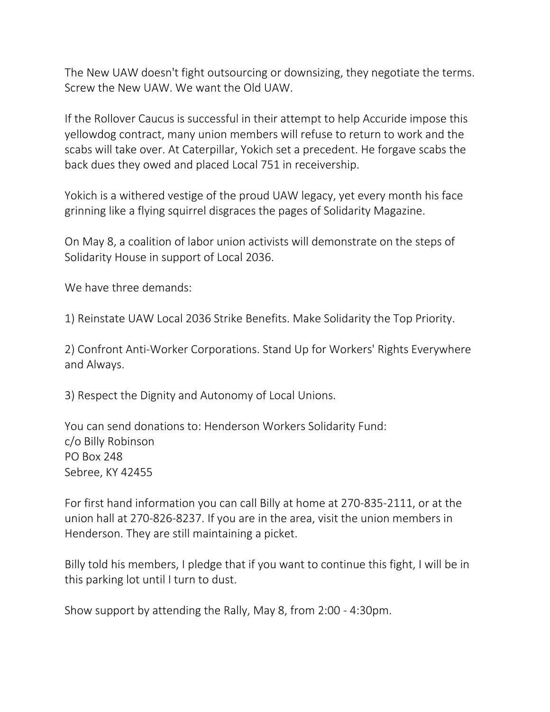The New UAW doesn't fight outsourcing or downsizing, they negotiate the terms. Screw the New UAW. We want the Old UAW.

If the Rollover Caucus is successful in their attempt to help Accuride impose this yellowdog contract, many union members will refuse to return to work and the scabs will take over. At Caterpillar, Yokich set a precedent. He forgave scabs the back dues they owed and placed Local 751 in receivership.

Yokich is a withered vestige of the proud UAW legacy, yet every month his face grinning like a flying squirrel disgraces the pages of Solidarity Magazine.

On May 8, a coalition of labor union activists will demonstrate on the steps of Solidarity House in support of Local 2036.

We have three demands:

1) Reinstate UAW Local 2036 Strike Benefits. Make Solidarity the Top Priority.

2) Confront Anti-Worker Corporations. Stand Up for Workers' Rights Everywhere and Always.

3) Respect the Dignity and Autonomy of Local Unions.

You can send donations to: Henderson Workers Solidarity Fund: c/o Billy Robinson PO Box 248 Sebree, KY 42455

For first hand information you can call Billy at home at 270-835-2111, or at the union hall at 270-826-8237. If you are in the area, visit the union members in Henderson. They are still maintaining a picket.

Billy told his members, I pledge that if you want to continue this fight, I will be in this parking lot until I turn to dust.

Show support by attending the Rally, May 8, from 2:00 - 4:30pm.